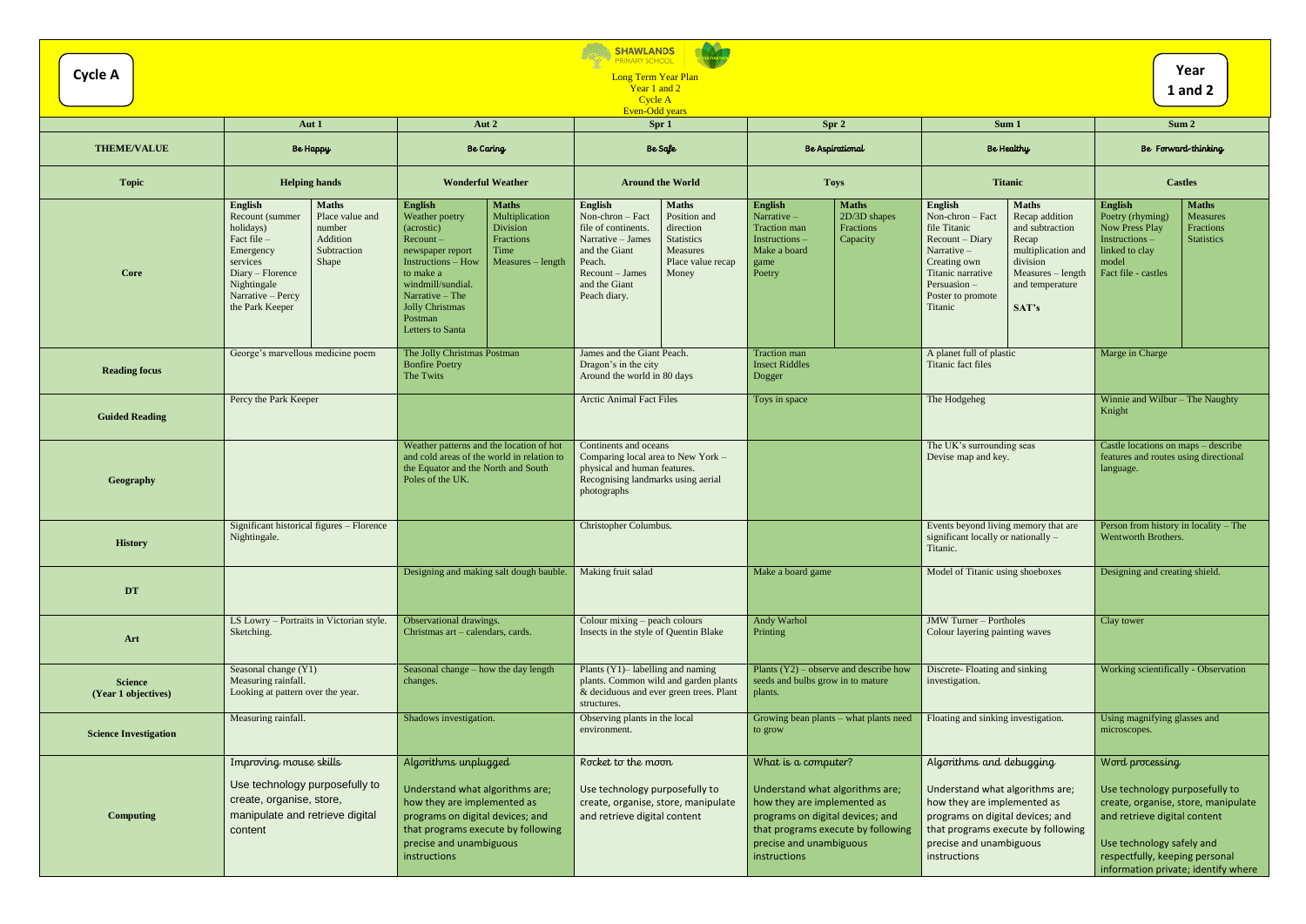| <b>SHAWLANDS</b><br>PRIMARY SCHOOL<br>Year<br><b>Cycle A</b><br>Long Term Year Plan<br>Year 1 and 2<br><b>1</b> and 2<br>Cycle A |                                                                                                                                                                                                                                             |                                                                                                                                                                                                                                                                                                                   |                                                                                                                                                                                                                                                                             |                                                                                                                                                                                                            |                                                                                                                                                                                                                                                                                                                     |                                                                                                                                                                                                                                |
|----------------------------------------------------------------------------------------------------------------------------------|---------------------------------------------------------------------------------------------------------------------------------------------------------------------------------------------------------------------------------------------|-------------------------------------------------------------------------------------------------------------------------------------------------------------------------------------------------------------------------------------------------------------------------------------------------------------------|-----------------------------------------------------------------------------------------------------------------------------------------------------------------------------------------------------------------------------------------------------------------------------|------------------------------------------------------------------------------------------------------------------------------------------------------------------------------------------------------------|---------------------------------------------------------------------------------------------------------------------------------------------------------------------------------------------------------------------------------------------------------------------------------------------------------------------|--------------------------------------------------------------------------------------------------------------------------------------------------------------------------------------------------------------------------------|
|                                                                                                                                  | Aut 1                                                                                                                                                                                                                                       | Aut 2                                                                                                                                                                                                                                                                                                             | <b>Even-Odd years</b><br>Spr 1                                                                                                                                                                                                                                              | Spr 2                                                                                                                                                                                                      | Sum 1                                                                                                                                                                                                                                                                                                               | Sum 2                                                                                                                                                                                                                          |
| <b>THEME/VALUE</b>                                                                                                               | <b>Be Happy</b>                                                                                                                                                                                                                             | <b>Be Caring</b>                                                                                                                                                                                                                                                                                                  | Be Safe                                                                                                                                                                                                                                                                     | Be Aspirational                                                                                                                                                                                            | Be Healthy                                                                                                                                                                                                                                                                                                          | Be Forward-thinking                                                                                                                                                                                                            |
| <b>Topic</b>                                                                                                                     | <b>Helping hands</b>                                                                                                                                                                                                                        | <b>Wonderful Weather</b>                                                                                                                                                                                                                                                                                          | <b>Around the World</b>                                                                                                                                                                                                                                                     | <b>Toys</b>                                                                                                                                                                                                | <b>Titanic</b>                                                                                                                                                                                                                                                                                                      | <b>Castles</b>                                                                                                                                                                                                                 |
| Core                                                                                                                             | English<br><b>Maths</b><br>Place value and<br>Recount (summer<br>holidays)<br>number<br>Fact file -<br>Addition<br>Subtraction<br>Emergency<br>Shape<br>services<br>Diary – Florence<br>Nightingale<br>Narrative - Percy<br>the Park Keeper | <b>English</b><br><b>Maths</b><br>Multiplication<br>Weather poetry<br>Division<br>(acrostic)<br>Fractions<br>$Recount -$<br>Time<br>newspaper report<br><b>Instructions - How</b><br>$Measures - length$<br>to make a<br>windmill/sundial.<br>Narrative $-$ The<br>Jolly Christmas<br>Postman<br>Letters to Santa | <b>Maths</b><br>English<br>Non-chron - Fact<br>Position and<br>file of continents.<br>direction<br>Narrative - James<br><b>Statistics</b><br>and the Giant<br><b>Measures</b><br>Peach.<br>Place value recap<br>$Recount - James$<br>Money<br>and the Giant<br>Peach diary. | <b>Maths</b><br>English<br>Narrative-<br>$2D/3D$ shapes<br>Traction man<br>Fractions<br>Instructions -<br>Capacity<br>Make a board<br>game<br>Poetry                                                       | <b>Maths</b><br>English<br>Non-chron - Fact<br>Recap addition<br>file Titanic<br>and subtraction<br>Recount - Diary<br>Recap<br>Narrative -<br>multiplication and<br>Creating own<br>division<br>Titanic narrative<br>Measures - length<br>Persuasion -<br>and temperature<br>Poster to promote<br>Titanic<br>SAT's | <b>Maths</b><br>English<br>Poetry (rhyming)<br>Measures<br><b>Now Press Play</b><br>Fractions<br>Instructions-<br><b>Statistics</b><br>linked to clay<br>model<br>Fact file - castles                                          |
| <b>Reading focus</b>                                                                                                             | George's marvellous medicine poem                                                                                                                                                                                                           | The Jolly Christmas Postman<br><b>Bonfire Poetry</b><br>The Twits                                                                                                                                                                                                                                                 | James and the Giant Peach.<br>Dragon's in the city<br>Around the world in 80 days                                                                                                                                                                                           | <b>Traction</b> man<br><b>Insect Riddles</b><br>Dogger                                                                                                                                                     | A planet full of plastic<br>Titanic fact files                                                                                                                                                                                                                                                                      | Marge in Charge                                                                                                                                                                                                                |
| <b>Guided Reading</b>                                                                                                            | Percy the Park Keeper                                                                                                                                                                                                                       |                                                                                                                                                                                                                                                                                                                   | <b>Arctic Animal Fact Files</b>                                                                                                                                                                                                                                             | Toys in space                                                                                                                                                                                              | The Hodgeheg                                                                                                                                                                                                                                                                                                        | Winnie and Wilbur - The Naughty<br>Knight                                                                                                                                                                                      |
| Geography                                                                                                                        |                                                                                                                                                                                                                                             | Weather patterns and the location of hot<br>and cold areas of the world in relation to<br>the Equator and the North and South<br>Poles of the UK.                                                                                                                                                                 | Continents and oceans<br>Comparing local area to New York -<br>physical and human features.<br>Recognising landmarks using aerial<br>photographs                                                                                                                            |                                                                                                                                                                                                            | The UK's surrounding seas<br>Devise map and key.                                                                                                                                                                                                                                                                    | Castle locations on maps - describe<br>features and routes using directional<br>language.                                                                                                                                      |
| <b>History</b>                                                                                                                   | Significant historical figures – Florence<br>Nightingale.                                                                                                                                                                                   |                                                                                                                                                                                                                                                                                                                   | Christopher Columbus.                                                                                                                                                                                                                                                       |                                                                                                                                                                                                            | Events beyond living memory that are<br>significant locally or nationally -<br>Titanic.                                                                                                                                                                                                                             | Person from history in locality – The<br>Wentworth Brothers.                                                                                                                                                                   |
| DT                                                                                                                               |                                                                                                                                                                                                                                             | Designing and making salt dough bauble.                                                                                                                                                                                                                                                                           | Making fruit salad                                                                                                                                                                                                                                                          | Make a board game                                                                                                                                                                                          | Model of Titanic using shoeboxes                                                                                                                                                                                                                                                                                    | Designing and creating shield.                                                                                                                                                                                                 |
| Art                                                                                                                              | LS Lowry - Portraits in Victorian style.<br>Sketching.                                                                                                                                                                                      | Observational drawings.<br>Christmas art - calendars, cards.                                                                                                                                                                                                                                                      | Colour mixing $-$ peach colours<br>Insects in the style of Quentin Blake                                                                                                                                                                                                    | <b>Andy Warhol</b><br>Printing                                                                                                                                                                             | <b>JMW Turner - Portholes</b><br>Colour layering painting waves                                                                                                                                                                                                                                                     | Clay tower                                                                                                                                                                                                                     |
| <b>Science</b><br>(Year 1 objectives)                                                                                            | Seasonal change (Y1)<br>Measuring rainfall.<br>Looking at pattern over the year.                                                                                                                                                            | Seasonal change – how the day length<br>changes.                                                                                                                                                                                                                                                                  | Plants (Y1)– labelling and naming<br>plants. Common wild and garden plants<br>& deciduous and ever green trees. Plant<br>structures.                                                                                                                                        | Plants $(Y2)$ – observe and describe how<br>seeds and bulbs grow in to mature<br>plants.                                                                                                                   | Discrete- Floating and sinking<br>investigation.                                                                                                                                                                                                                                                                    | Working scientifically - Observation                                                                                                                                                                                           |
| <b>Science Investigation</b>                                                                                                     | Measuring rainfall.                                                                                                                                                                                                                         | Shadows investigation.                                                                                                                                                                                                                                                                                            | Observing plants in the local<br>environment.                                                                                                                                                                                                                               | Growing bean plants – what plants need<br>to grow                                                                                                                                                          | Floating and sinking investigation.                                                                                                                                                                                                                                                                                 | Using magnifying glasses and<br>microscopes.                                                                                                                                                                                   |
| <b>Computing</b>                                                                                                                 | Improving mouse skills<br>Use technology purposefully to<br>create, organise, store,<br>manipulate and retrieve digital<br>content                                                                                                          | Algorithms unplugged<br>Understand what algorithms are;<br>how they are implemented as<br>programs on digital devices; and<br>that programs execute by following<br>precise and unambiguous<br>instructions                                                                                                       | Rocket to the moon<br>Use technology purposefully to<br>create, organise, store, manipulate<br>and retrieve digital content                                                                                                                                                 | What is a computer?<br>Understand what algorithms are;<br>how they are implemented as<br>programs on digital devices; and<br>that programs execute by following<br>precise and unambiguous<br>instructions | Algorithms and debugging<br>Understand what algorithms are;<br>how they are implemented as<br>programs on digital devices; and<br>that programs execute by following<br>precise and unambiguous<br>instructions                                                                                                     | Word processing<br>Use technology purposefully to<br>create, organise, store, manipulate<br>and retrieve digital content<br>Use technology safely and<br>respectfully, keeping personal<br>information private; identify where |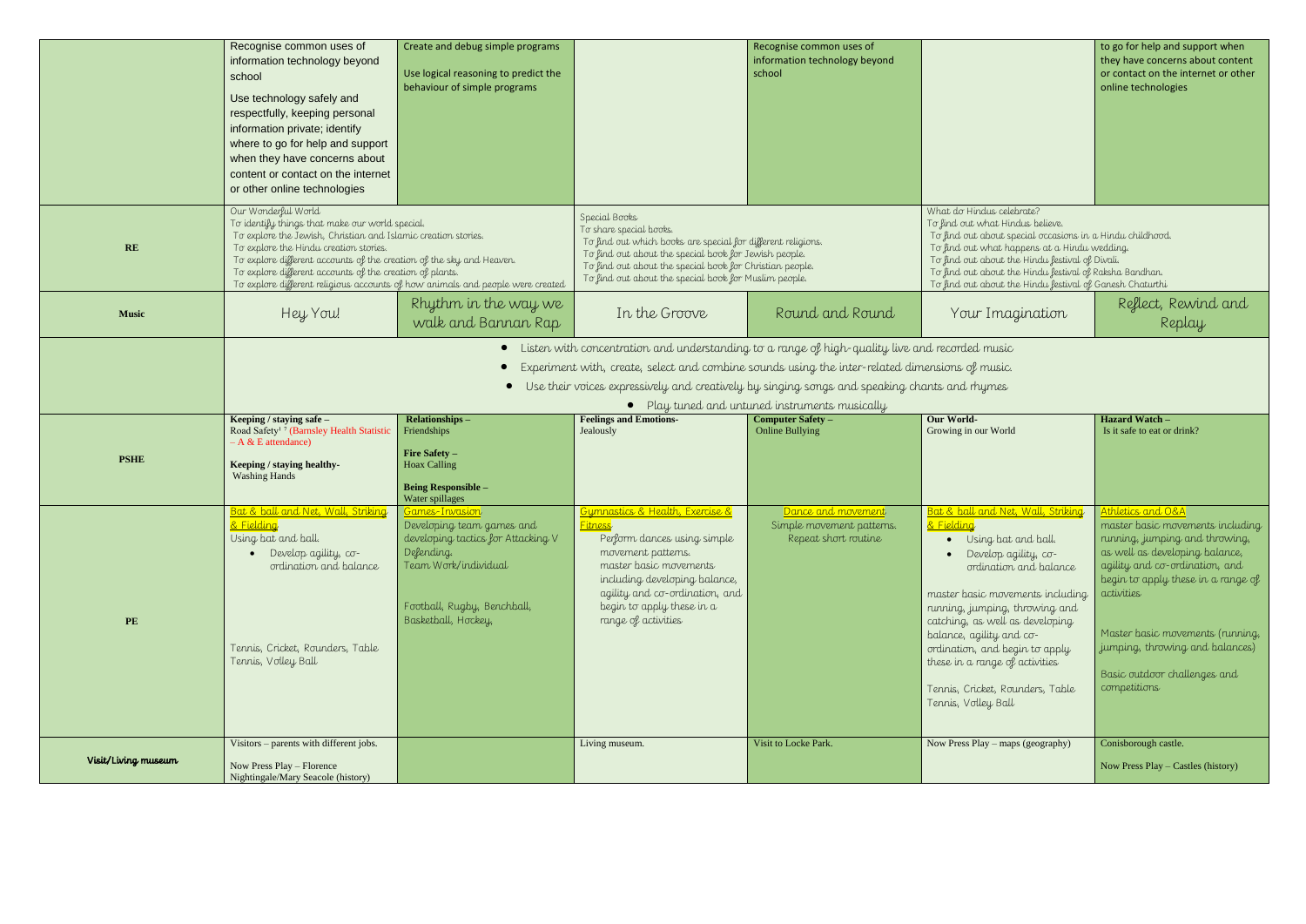|              | Recognise common uses of<br>information technology beyond<br>school<br>Use technology safely and<br>respectfully, keeping personal<br>information private; identify<br>where to go for help and support<br>when they have concerns about<br>content or contact on the internet<br>or other online technologies         | Create and debug simple programs<br>Use logical reasoning to predict the<br>behaviour of simple programs                                                                                                 |                                                                                                                                                                                                                                                                                        | Recognise common uses of<br>information technology beyond<br>school                                  |                                                                                                                                                                                                                                                                                                                                                                                                                                               | to go for help and<br>they have concern<br>or contact on the i<br>online technologie                                                                                                                                                                   |
|--------------|------------------------------------------------------------------------------------------------------------------------------------------------------------------------------------------------------------------------------------------------------------------------------------------------------------------------|----------------------------------------------------------------------------------------------------------------------------------------------------------------------------------------------------------|----------------------------------------------------------------------------------------------------------------------------------------------------------------------------------------------------------------------------------------------------------------------------------------|------------------------------------------------------------------------------------------------------|-----------------------------------------------------------------------------------------------------------------------------------------------------------------------------------------------------------------------------------------------------------------------------------------------------------------------------------------------------------------------------------------------------------------------------------------------|--------------------------------------------------------------------------------------------------------------------------------------------------------------------------------------------------------------------------------------------------------|
| RE           | Our Wonderful World<br>To identify things that make our world special.<br>To explore the Jewish, Christian and Islamic creation stories.<br>To explore the Hindu creation stories.<br>To explore different accounts of the creation of the sky and Heaven.<br>To explore different accounts of the creation of plants. | To explore different religious accounts of how animals and people were created                                                                                                                           | Special Books<br>To share special books.<br>To find out which books are special for different religions.<br>To find out about the special book for Jewish people.<br>To find out about the special book for Christian people.<br>To find out about the special book for Muslim people. |                                                                                                      | What do Hindus celebrate?<br>To find out what Hindus believe.<br>To find out about special occasions in a Hindu childhood.<br>To find out what happens at a Hindu wedding.<br>To find out about the Hindu festival of Divali.<br>To find out about the Hindu festival of Raksha Bandhan.<br>To find out about the Hindu festival of Ganesh Chaturthi                                                                                          |                                                                                                                                                                                                                                                        |
| <b>Music</b> | Hey You!                                                                                                                                                                                                                                                                                                               | Rhythm in the way we<br>walk and Bannan Rap                                                                                                                                                              | In the Groove                                                                                                                                                                                                                                                                          | Round and Round                                                                                      | Your Imagination                                                                                                                                                                                                                                                                                                                                                                                                                              | Reflect, Re<br>Rep                                                                                                                                                                                                                                     |
| <b>PSHE</b>  | Keeping / staying safe -<br>Road Safety <sup>17</sup> (Barnsley Health Statistic<br>$- A & E$ attendance)                                                                                                                                                                                                              | $\bullet$<br>Relationships-<br>Friendships<br>Fire Safety -                                                                                                                                              | Experiment with, create, select and combine sounds using the inter-related dimensions of music.<br>• Use their voices expressively and creatively by singing songs and speaking chants and rhymes<br><b>Feelings and Emotions-</b><br>Jealously                                        | • Play tuned and untuned instruments musically<br><b>Computer Safety -</b><br><b>Online Bullying</b> | <b>Our World-</b><br>Growing in our World                                                                                                                                                                                                                                                                                                                                                                                                     | Hazard Watch -<br>Is it safe to eat or dr.                                                                                                                                                                                                             |
|              | Keeping / staying healthy-<br><b>Washing Hands</b>                                                                                                                                                                                                                                                                     | <b>Hoax Calling</b><br><b>Being Responsible -</b>                                                                                                                                                        |                                                                                                                                                                                                                                                                                        |                                                                                                      |                                                                                                                                                                                                                                                                                                                                                                                                                                               |                                                                                                                                                                                                                                                        |
| PE           | Bat & ball and Net, Wall, Striking<br>& Fielding<br>Using bat and ball.<br>Develop agility, co-<br>ordination and balance<br>Tennis, Cricket, Rounders, Table<br>Tennis, Volley Ball<br>Visitors - parents with different jobs.                                                                                        | Water spillages<br><u> Games-Invasion</u><br>Developing team games and<br>developing tactics for Attacking V<br>Defending.<br>Team Work/individual<br>Football, Rugby, Benchball,<br>Basketball, Hockey, | Gymnastics & Health, Exercise &<br><b>Fitness</b><br>Perform dances using simple<br>movement patterns.<br>master basic movements<br>including developing balance,<br>agility and co-ordination, and<br>begin to apply these in a<br>range of activities                                | Dance and movement<br>Simple movement patterns.<br>Repeat short routine<br>Visit to Locke Park.      | <b>Bat &amp; ball and Net, Wall, Striking</b><br>& Fielding<br>Using bat and ball.<br>Develop agility, co-<br>ordination and balance<br>master basic movements including<br>running, jumping, throwing and<br>catching, as well as developing<br>balance, agility and co-<br>ordination, and begin to apply<br>these in a range of activities<br>Tennis, Cricket, Rounders, Table<br>Tennis, Volley Ball<br>Now Press Play - maps (geography) | Athletics and O&A<br>master basic mov<br>running, jumping<br>as well as develop<br>agility and co-ord<br>begin to apply the<br><i>activities</i><br>Master basic mov<br>jumping, throwing<br>Basic outdoor cho<br>competitions<br>Conisborough castle. |

|                                                                                                                                                                                                                                                                                                                                                                                                          | to go for help and support when<br>they have concerns about content<br>or contact on the internet or other<br>online technologies                                                                                                                                                                                                                 |
|----------------------------------------------------------------------------------------------------------------------------------------------------------------------------------------------------------------------------------------------------------------------------------------------------------------------------------------------------------------------------------------------------------|---------------------------------------------------------------------------------------------------------------------------------------------------------------------------------------------------------------------------------------------------------------------------------------------------------------------------------------------------|
| What do Hindus celebrate?<br>To find out what Hindus believe.<br>To find out about special occasions in a Hindu childhood.<br>To find out what happens at a Hindu wedding.<br>To find out about the Hindu festival of Divali.<br>To find out about the Hindu festival of Raksha Bandhan.<br>To find out about the Hindu festival of Ganesh Chaturthi                                                     |                                                                                                                                                                                                                                                                                                                                                   |
| Your Imagination                                                                                                                                                                                                                                                                                                                                                                                         | Reflect, Rewind and<br>Replay                                                                                                                                                                                                                                                                                                                     |
| ensions of music.<br>nts and rhymes<br><b>Our World-</b><br>Growing in our World                                                                                                                                                                                                                                                                                                                         | <b>Hazard Watch -</b><br>Is it safe to eat or drink?                                                                                                                                                                                                                                                                                              |
| <u>Bat &amp; ball and Net, Wall, Striking</u><br>& Fielding<br>Using bat and ball.<br>Develop agility, co-<br>ordination and balance<br>master basic movements including<br>running, jumping, throwing and<br>catching, as well as developing<br>balance, agility and co-<br>ordination, and begin to apply<br>these in a range of activities<br>Tennis, Cricket, Rounders, Table<br>Tennis, Volley Ball | <u>Athletics and O&amp;A</u><br>master basic movements including<br>running, jumping and throwing,<br>as well as developing balance,<br>agility and co-ordination, and<br>begin to apply these in a range of<br>activities<br>Master basic movements (running,<br>jumping, throwing and balances)<br>Basic outdoor challenges and<br>competitions |
| Now Press Play - maps (geography)                                                                                                                                                                                                                                                                                                                                                                        | Conisborough castle.<br>Now Press Play - Castles (history)                                                                                                                                                                                                                                                                                        |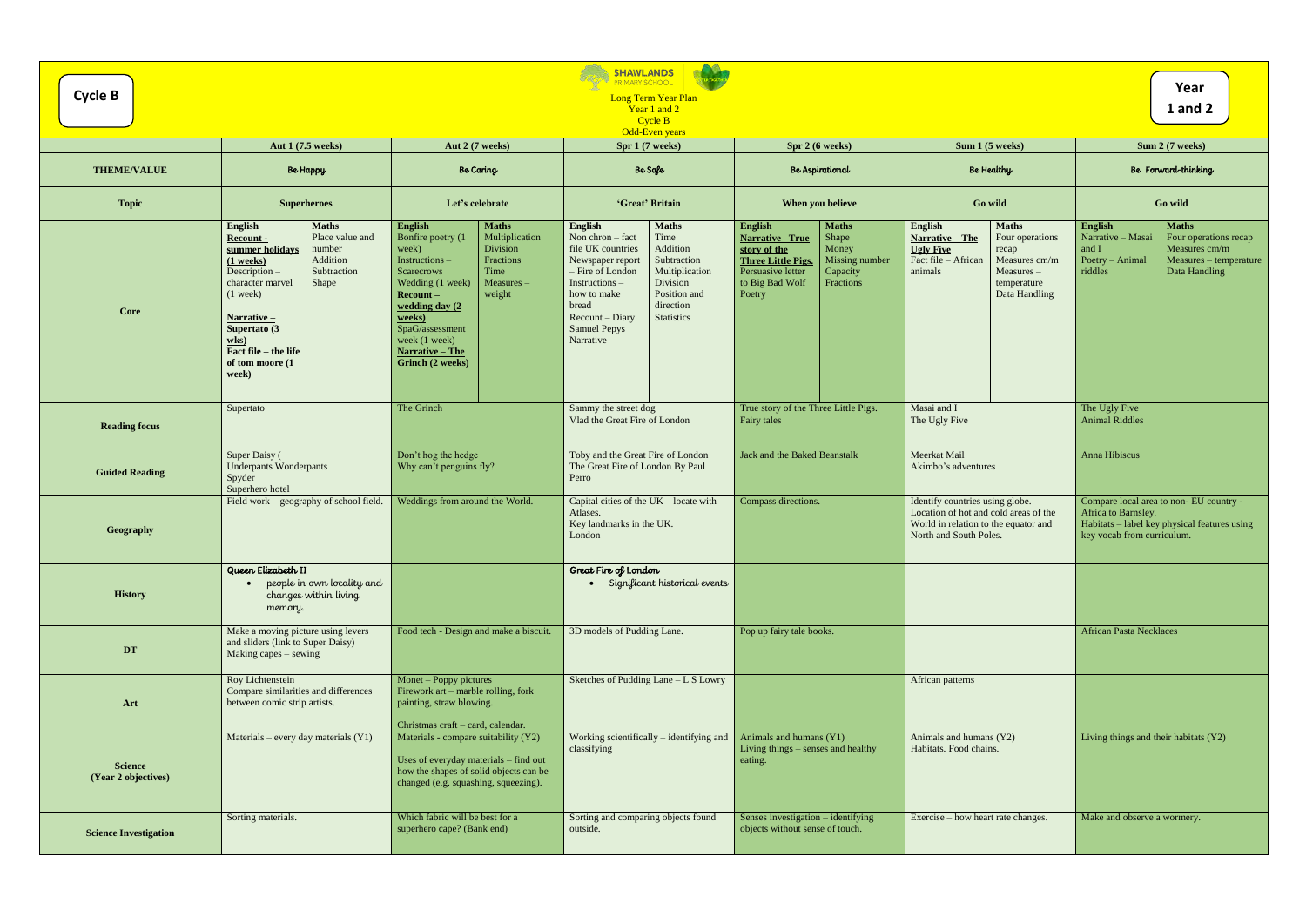|                                       |                                                                                                                                                                                                                                                                                                        |                                                                                                                                                                                                                                                                                                                  | <b>SHAWLANDS</b><br><b>PRIMARY SCHOOL</b>                                                                                                                                                                                                                                                                                        |                                                                                                                                                                                                                     |                                                                                                                                                                                                      |                                                                                                                                                                                 |  |
|---------------------------------------|--------------------------------------------------------------------------------------------------------------------------------------------------------------------------------------------------------------------------------------------------------------------------------------------------------|------------------------------------------------------------------------------------------------------------------------------------------------------------------------------------------------------------------------------------------------------------------------------------------------------------------|----------------------------------------------------------------------------------------------------------------------------------------------------------------------------------------------------------------------------------------------------------------------------------------------------------------------------------|---------------------------------------------------------------------------------------------------------------------------------------------------------------------------------------------------------------------|------------------------------------------------------------------------------------------------------------------------------------------------------------------------------------------------------|---------------------------------------------------------------------------------------------------------------------------------------------------------------------------------|--|
| <b>Cycle B</b>                        | Year<br><b>Long Term Year Plan</b><br><b>1</b> and 2<br>Year 1 and 2                                                                                                                                                                                                                                   |                                                                                                                                                                                                                                                                                                                  |                                                                                                                                                                                                                                                                                                                                  |                                                                                                                                                                                                                     |                                                                                                                                                                                                      |                                                                                                                                                                                 |  |
| Cycle B<br>Odd-Even years             |                                                                                                                                                                                                                                                                                                        |                                                                                                                                                                                                                                                                                                                  |                                                                                                                                                                                                                                                                                                                                  |                                                                                                                                                                                                                     |                                                                                                                                                                                                      |                                                                                                                                                                                 |  |
|                                       | Aut 1 (7.5 weeks)                                                                                                                                                                                                                                                                                      | Aut 2 (7 weeks)                                                                                                                                                                                                                                                                                                  | Spr 1 (7 weeks)                                                                                                                                                                                                                                                                                                                  | Spr 2 (6 weeks)                                                                                                                                                                                                     | Sum 1 (5 weeks)                                                                                                                                                                                      | Sum 2 (7 weeks)                                                                                                                                                                 |  |
| <b>THEME/VALUE</b>                    | <b>Be Happy</b>                                                                                                                                                                                                                                                                                        | <b>Be Caring</b>                                                                                                                                                                                                                                                                                                 | Be Safe                                                                                                                                                                                                                                                                                                                          | Be Aspirational                                                                                                                                                                                                     | Be Healthy                                                                                                                                                                                           | Be Forward-thinking                                                                                                                                                             |  |
| <b>Topic</b>                          | <b>Superheroes</b>                                                                                                                                                                                                                                                                                     | Let's celebrate                                                                                                                                                                                                                                                                                                  | 'Great' Britain                                                                                                                                                                                                                                                                                                                  | When you believe                                                                                                                                                                                                    | <b>Go wild</b>                                                                                                                                                                                       | Go wild                                                                                                                                                                         |  |
| Core                                  | <b>Maths</b><br><b>English</b><br>Place value and<br>Recount -<br>summer holidays<br>number<br>Addition<br>$(1$ weeks)<br>Description-<br>Subtraction<br>character marvel<br>Shape<br>$(1$ week)<br><u>Narrative –</u><br>Supertato (3<br>$w$ ks)<br>Fact file – the life<br>of tom moore (1)<br>week) | English<br><b>Maths</b><br>Bonfire poetry (1<br>Multiplication<br>Division<br>week)<br>Instructions-<br>Fractions<br>Time<br><b>Scarecrows</b><br>Wedding (1 week)<br>Measures -<br>weight<br>$Recount$ –<br>wedding day (2<br>weeks)<br>SpaG/assessment<br>week (1 week)<br>Narrative – The<br>Grinch (2 weeks) | <b>Maths</b><br>English<br>Non chron $-$ fact<br>Time<br>Addition<br>file UK countries<br>Subtraction<br>Newspaper report<br>- Fire of London<br>Multiplication<br>$Instructions -$<br>Division<br>Position and<br>how to make<br>direction<br>bread<br>Recount – Diary<br><b>Statistics</b><br><b>Samuel Pepys</b><br>Narrative | <b>English</b><br><b>Maths</b><br>Shape<br><b>Narrative-True</b><br>story of the<br>Money<br>Missing number<br><b>Three Little Pigs.</b><br>Persuasive letter<br>Capacity<br>to Big Bad Wolf<br>Fractions<br>Poetry | <b>Maths</b><br><b>English</b><br>Four operations<br>Narrative - The<br><b>Ugly Five</b><br>recap<br>Fact file - African<br>Measures cm/m<br>animals<br>$Measures -$<br>temperature<br>Data Handling | <b>English</b><br><b>Maths</b><br>Narrative - Masai<br>Four operations recap<br>Measures cm/m<br>and I<br>Poetry - Animal<br>Measures - temperature<br>riddles<br>Data Handling |  |
| <b>Reading focus</b>                  | Supertato                                                                                                                                                                                                                                                                                              | The Grinch                                                                                                                                                                                                                                                                                                       | Sammy the street dog<br>Vlad the Great Fire of London                                                                                                                                                                                                                                                                            | True story of the Three Little Pigs.<br>Fairy tales                                                                                                                                                                 | Masai and I<br>The Ugly Five                                                                                                                                                                         | The Ugly Five<br><b>Animal Riddles</b>                                                                                                                                          |  |
| <b>Guided Reading</b>                 | Super Daisy (<br><b>Underpants Wonderpants</b><br>Spyder<br>Superhero hotel                                                                                                                                                                                                                            | Don't hog the hedge<br>Why can't penguins fly?                                                                                                                                                                                                                                                                   | Toby and the Great Fire of London<br>The Great Fire of London By Paul<br>Perro                                                                                                                                                                                                                                                   | Jack and the Baked Beanstalk                                                                                                                                                                                        | Meerkat Mail<br>Akimbo's adventures                                                                                                                                                                  | Anna Hibiscus                                                                                                                                                                   |  |
| Geography                             | Field work - geography of school field.                                                                                                                                                                                                                                                                | Weddings from around the World.                                                                                                                                                                                                                                                                                  | Capital cities of the $UK - locate$ with<br>Atlases.<br>Key landmarks in the UK.<br>London                                                                                                                                                                                                                                       | Compass directions.                                                                                                                                                                                                 | Identify countries using globe.<br>Location of hot and cold areas of the<br>World in relation to the equator and<br>North and South Poles.                                                           | Compare local area to non-EU country -<br>Africa to Barnsley.<br>Habitats - label key physical features using<br>key vocab from curriculum.                                     |  |
| <b>History</b>                        | Queen Elizabeth II<br>• people in own locality and<br>changes within living<br>memory.                                                                                                                                                                                                                 |                                                                                                                                                                                                                                                                                                                  | Great Fire of London<br>· Significant historical events                                                                                                                                                                                                                                                                          |                                                                                                                                                                                                                     |                                                                                                                                                                                                      |                                                                                                                                                                                 |  |
| $\mathbf{D}\mathbf{T}$                | Make a moving picture using levers<br>and sliders (link to Super Daisy)<br>Making capes – sewing                                                                                                                                                                                                       | Food tech - Design and make a biscuit.                                                                                                                                                                                                                                                                           | 3D models of Pudding Lane.                                                                                                                                                                                                                                                                                                       | Pop up fairy tale books.                                                                                                                                                                                            |                                                                                                                                                                                                      | <b>African Pasta Necklaces</b>                                                                                                                                                  |  |
| Art                                   | Roy Lichtenstein<br>Compare similarities and differences<br>between comic strip artists.                                                                                                                                                                                                               | Monet – Poppy pictures<br>Firework art – marble rolling, fork<br>painting, straw blowing.<br>Christmas craft - card, calendar.                                                                                                                                                                                   | Sketches of Pudding Lane - L S Lowry                                                                                                                                                                                                                                                                                             |                                                                                                                                                                                                                     | African patterns                                                                                                                                                                                     |                                                                                                                                                                                 |  |
| <b>Science</b><br>(Year 2 objectives) | Materials – every day materials $(Y1)$                                                                                                                                                                                                                                                                 | Materials - compare suitability (Y2)<br>Uses of everyday materials - find out<br>how the shapes of solid objects can be<br>changed (e.g. squashing, squeezing).                                                                                                                                                  | Working scientifically – identifying and<br>classifying                                                                                                                                                                                                                                                                          | Animals and humans (Y1)<br>Living things – senses and healthy<br>eating.                                                                                                                                            | Animals and humans (Y2)<br>Habitats. Food chains.                                                                                                                                                    | Living things and their habitats (Y2)                                                                                                                                           |  |
| <b>Science Investigation</b>          | Sorting materials.                                                                                                                                                                                                                                                                                     | Which fabric will be best for a<br>superhero cape? (Bank end)                                                                                                                                                                                                                                                    | Sorting and comparing objects found<br>outside.                                                                                                                                                                                                                                                                                  | Senses investigation - identifying<br>objects without sense of touch.                                                                                                                                               | Exercise – how heart rate changes.                                                                                                                                                                   | Make and observe a wormery.                                                                                                                                                     |  |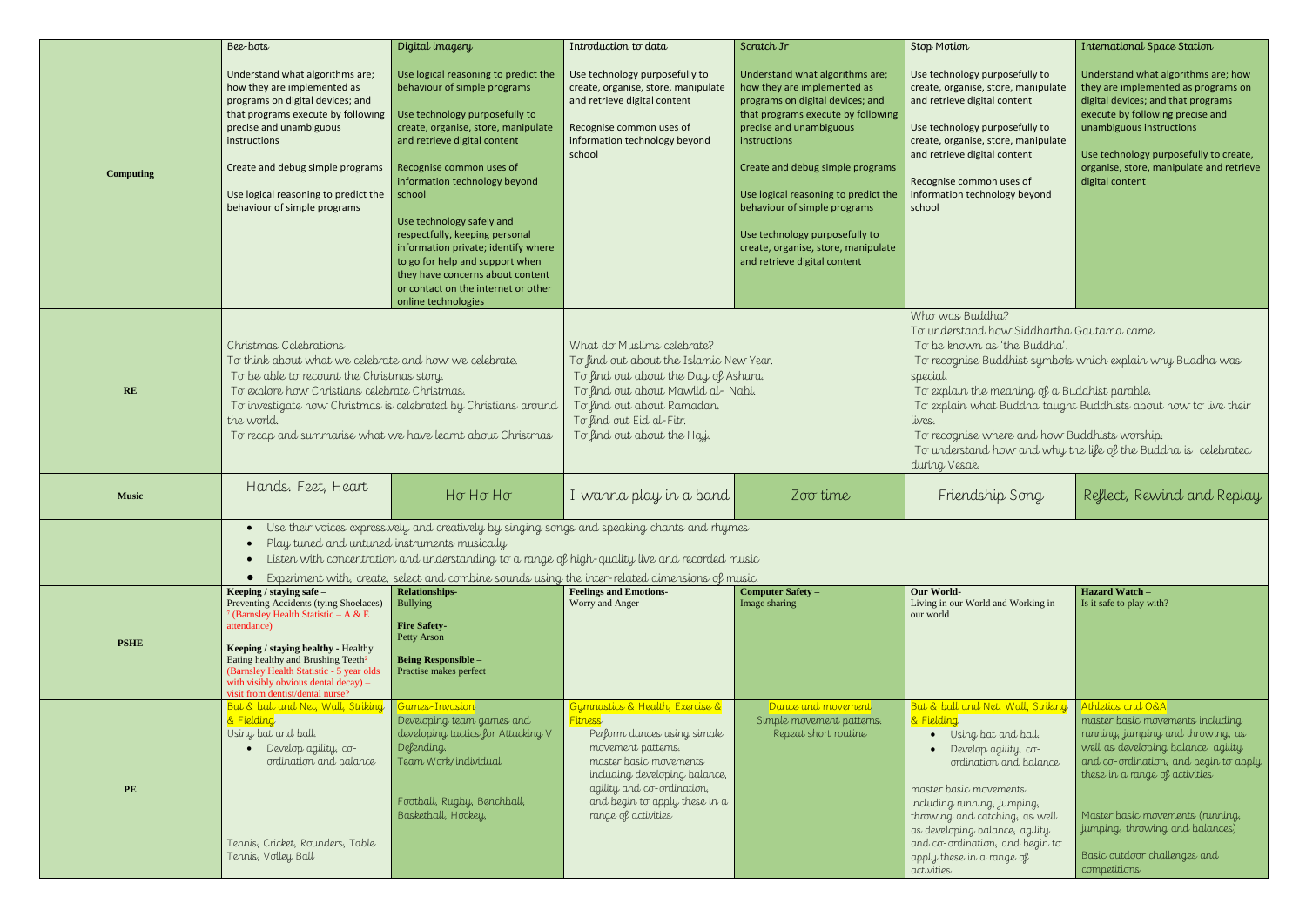|                  | Bee-bots                                                                                                                                                                                                                                                                                                                                                                    | Digital imagery                                                                                                                                                                                                                                                                                                                                                                                                                                                                                 | Introduction to data                                                                                                                                                                                                                                          | Scratch Jr                                                                                                                                                                                                                                                                                                                                                                                               | Stop Motion                                                                                                                                                                                                                                                                                                                                                                                                                              | <b>International Space Station</b>                                                                                                                                                                                                                                                                                                  |
|------------------|-----------------------------------------------------------------------------------------------------------------------------------------------------------------------------------------------------------------------------------------------------------------------------------------------------------------------------------------------------------------------------|-------------------------------------------------------------------------------------------------------------------------------------------------------------------------------------------------------------------------------------------------------------------------------------------------------------------------------------------------------------------------------------------------------------------------------------------------------------------------------------------------|---------------------------------------------------------------------------------------------------------------------------------------------------------------------------------------------------------------------------------------------------------------|----------------------------------------------------------------------------------------------------------------------------------------------------------------------------------------------------------------------------------------------------------------------------------------------------------------------------------------------------------------------------------------------------------|------------------------------------------------------------------------------------------------------------------------------------------------------------------------------------------------------------------------------------------------------------------------------------------------------------------------------------------------------------------------------------------------------------------------------------------|-------------------------------------------------------------------------------------------------------------------------------------------------------------------------------------------------------------------------------------------------------------------------------------------------------------------------------------|
| <b>Computing</b> | Understand what algorithms are;<br>how they are implemented as<br>programs on digital devices; and<br>that programs execute by following<br>precise and unambiguous<br>instructions<br>Create and debug simple programs<br>Use logical reasoning to predict the<br>behaviour of simple programs                                                                             | Use logical reasoning to predict the<br>behaviour of simple programs<br>Use technology purposefully to<br>create, organise, store, manipulate<br>and retrieve digital content<br>Recognise common uses of<br>information technology beyond<br>school<br>Use technology safely and<br>respectfully, keeping personal<br>information private; identify where<br>to go for help and support when<br>they have concerns about content<br>or contact on the internet or other<br>online technologies | Use technology purposefully to<br>create, organise, store, manipulate<br>and retrieve digital content<br>Recognise common uses of<br>information technology beyond<br>school                                                                                  | Understand what algorithms are;<br>how they are implemented as<br>programs on digital devices; and<br>that programs execute by following<br>precise and unambiguous<br>instructions<br>Create and debug simple programs<br>Use logical reasoning to predict the<br>behaviour of simple programs<br>Use technology purposefully to<br>create, organise, store, manipulate<br>and retrieve digital content | Use technology purposefully to<br>create, organise, store, manipulate<br>and retrieve digital content<br>Use technology purposefully to<br>create, organise, store, manipulate<br>and retrieve digital content<br>Recognise common uses of<br>information technology beyond<br>school                                                                                                                                                    | Understand what algorithms are; how<br>they are implemented as programs on<br>digital devices; and that programs<br>execute by following precise and<br>unambiguous instructions<br>Use technology purposefully to create,<br>organise, store, manipulate and retrieve<br>digital content                                           |
| RE               | Christmas Celebrations<br>To think about what we celebrate and how we celebrate.<br>To be able to recount the Christmas story.<br>To explore how Christians celebrate Christmas.<br>To investigate how Christmas is celebrated by Christians around<br>the world.<br>To recap and summarise what we have learnt about Christmas                                             |                                                                                                                                                                                                                                                                                                                                                                                                                                                                                                 | What do Muslims celebrate?<br>To find out about the Islamic New Year.<br>To find out about the Day of Ashura.<br>To find out about Mawlid al-Nabi.<br>To find out about Ramadan.<br>To find out Eid al-Fitr.<br>To find out about the Hajj.                   |                                                                                                                                                                                                                                                                                                                                                                                                          | Who was Buddha?<br>To understand how Siddhartha Gautama came<br>To be known as 'the Buddha'.<br>To recognise Buddhist symbols which explain why Buddha was<br>special.<br>To explain the meaning of a Buddhist parable.<br>To explain what Buddha taught Buddhists about how to live their<br>lives.<br>To recognise where and how Buddhists worship.<br>To understand how and why the life of the Buddha is celebrated<br>during Vesak. |                                                                                                                                                                                                                                                                                                                                     |
| <b>Music</b>     | Hands. Feet, Heart                                                                                                                                                                                                                                                                                                                                                          | Ho Ho Ho                                                                                                                                                                                                                                                                                                                                                                                                                                                                                        | I wanna play in a band                                                                                                                                                                                                                                        | Zoo time                                                                                                                                                                                                                                                                                                                                                                                                 | Friendship Song                                                                                                                                                                                                                                                                                                                                                                                                                          | Reflect, Rewind and Replay                                                                                                                                                                                                                                                                                                          |
|                  | Use their voices expressively and creatively by singing songs and speaking chants and rhymes<br>$\bullet$<br>Play tuned and untuned instruments musically<br>Listen with concentration and understanding to a range of high-quality live and recorded music<br>$\bullet$<br>Experiment with, create, select and combine sounds using the inter-related dimensions of music. |                                                                                                                                                                                                                                                                                                                                                                                                                                                                                                 |                                                                                                                                                                                                                                                               |                                                                                                                                                                                                                                                                                                                                                                                                          |                                                                                                                                                                                                                                                                                                                                                                                                                                          |                                                                                                                                                                                                                                                                                                                                     |
|                  | Keeping / staying safe -<br>Preventing Accidents (tying Shoelaces)                                                                                                                                                                                                                                                                                                          | <b>Relationships-</b><br>Bullying                                                                                                                                                                                                                                                                                                                                                                                                                                                               | <b>Feelings and Emotions-</b><br>Worry and Anger                                                                                                                                                                                                              | <b>Computer Safety -</b><br>Image sharing                                                                                                                                                                                                                                                                                                                                                                | <b>Our World-</b><br>Living in our World and Working in                                                                                                                                                                                                                                                                                                                                                                                  | Hazard Watch -<br>Is it safe to play with?                                                                                                                                                                                                                                                                                          |
| <b>PSHE</b>      | (Barnsley Health Statistic - A & E<br>attendance)<br>Keeping / staying healthy - Healthy<br>Eating healthy and Brushing Teeth <sup>2</sup><br>(Barnsley Health Statistic - 5 year olds<br>with visibly obvious dental decay) -<br>visit from dentist/dental nurse?                                                                                                          | <b>Fire Safety-</b><br>Petty Arson<br><b>Being Responsible -</b><br>Practise makes perfect                                                                                                                                                                                                                                                                                                                                                                                                      |                                                                                                                                                                                                                                                               |                                                                                                                                                                                                                                                                                                                                                                                                          | our world                                                                                                                                                                                                                                                                                                                                                                                                                                |                                                                                                                                                                                                                                                                                                                                     |
| PE               | Bat & ball and Net, Wall, Striking<br>& Fielding<br>Using bat and ball.<br>· Develop agility, co-<br>ordination and balance<br>Tennis, Cricket, Rounders, Table<br>Tennis, Volley Ball                                                                                                                                                                                      | Games-Invasion<br>Developing team games and<br>developing tactics for Attacking V<br>Defending.<br>Team Work/individual<br>Football, Rugby, Benchball,<br>Basketball, Hockey,                                                                                                                                                                                                                                                                                                                   | Gymnastics & Health, Exercise &<br><mark>Fitness</mark><br>Perform dances using simple<br>movement patterns.<br>master basic movements<br>including developing balance,<br>agility and co-ordination,<br>and begin to apply these in a<br>range of activities | Dance and movement<br>Simple movement patterns.<br>Repeat short routine                                                                                                                                                                                                                                                                                                                                  | Bat & ball and Net, Wall, Striking<br><u>&amp; Fielding</u><br>• Using bat and ball.<br>Develop agility, co-<br>ordination and balance<br>master basic movements<br>including running, jumping,<br>throwing and catching, as well<br>as developing balance, agility<br>and co-ordination, and begin to<br>apply these in a range of<br>activities                                                                                        | Athletics and O&A<br>master basic movements including<br>running, jumping and throwing, as<br>well as developing balance, agility<br>and co-ordination, and begin to apply<br>these in a range of activities<br>Master basic movements (running,<br>jumping, throwing and balances)<br>Basic outdoor challenges and<br>competitions |

- 
- 
- 
- 
- 
-